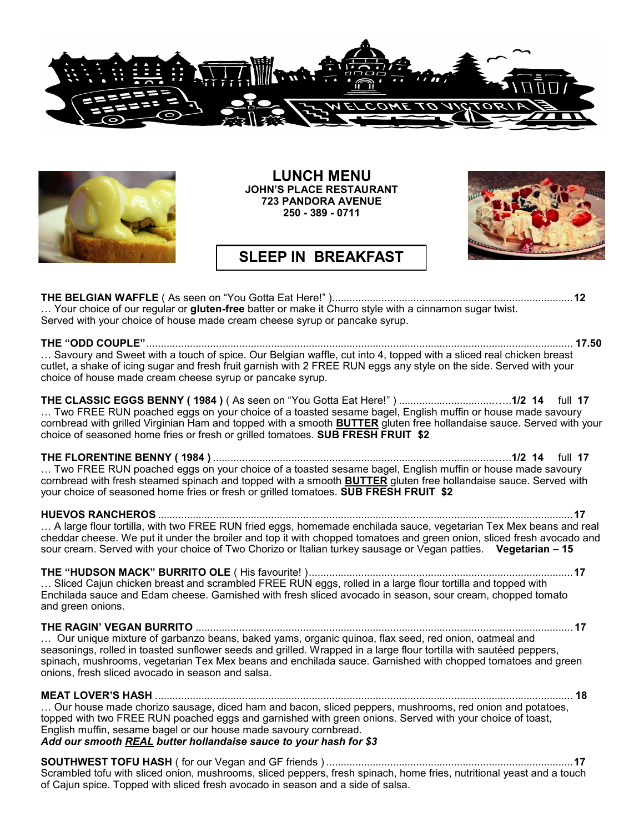



**LUNCH MENU JOHN'S PLACE RESTAURANT 723 PANDORA AVENUE 250 - 389 - 0711**

## **SLEEP IN BREAKFAST**

**THE BELGIAN WAFFLE** ( As seen on "You Gotta Eat Here!" )...................................................................................**12** … Your choice of our regular or **gluten-free** batter or make it Churro style with a cinnamon sugar twist. Served with your choice of house made cream cheese syrup or pancake syrup.

**THE "ODD COUPLE"**................................................................................................................................................... **17.50** … Savoury and Sweet with a touch of spice. Our Belgian waffle, cut into 4, topped with a sliced real chicken breast cutlet, a shake of icing sugar and fresh fruit garnish with 2 FREE RUN eggs any style on the side. Served with your choice of house made cream cheese syrup or pancake syrup.

**THE CLASSIC EGGS BENNY ( 1984 )** ( As seen on "You Gotta Eat Here!" ) .................................…..**1/2 14** full **17**  … Two FREE RUN poached eggs on your choice of a toasted sesame bagel, English muffin or house made savoury cornbread with grilled Virginian Ham and topped with a smooth **BUTTER** gluten free hollandaise sauce. Served with your choice of seasoned home fries or fresh or grilled tomatoes. **SUB FRESH FRUIT \$2** 

**THE FLORENTINE BENNY ( 1984 )** .................................................................................................…..**1/2 14** full **17**  … Two FREE RUN poached eggs on your choice of a toasted sesame bagel, English muffin or house made savoury cornbread with fresh steamed spinach and topped with a smooth **BUTTER** gluten free hollandaise sauce. Served with your choice of seasoned home fries or fresh or grilled tomatoes. **SUB FRESH FRUIT \$2** 

### **HUEVOS RANCHEROS** ...............................................................................................................................................**17**

… A large flour tortilla, with two FREE RUN fried eggs, homemade enchilada sauce, vegetarian Tex Mex beans and real cheddar cheese. We put it under the broiler and top it with chopped tomatoes and green onion, sliced fresh avocado and sour cream. Served with your choice of Two Chorizo or Italian turkey sausage or Vegan patties. **Vegetarian – 15**

**THE "HUDSON MACK" BURRITO OLE** ( His favourite! )...........................................................................................**17** ... Sliced Cajun chicken breast and scrambled FREE RUN eggs, rolled in a large flour tortilla and topped with Enchilada sauce and Edam cheese. Garnished with fresh sliced avocado in season, sour cream, chopped tomato and green onions.

### **THE RAGIN' VEGAN BURRITO** .................................................................................................................................. **17**

… Our unique mixture of garbanzo beans, baked yams, organic quinoa, flax seed, red onion, oatmeal and seasonings, rolled in toasted sunflower seeds and grilled. Wrapped in a large flour tortilla with sautéed peppers, spinach, mushrooms, vegetarian Tex Mex beans and enchilada sauce. Garnished with chopped tomatoes and green onions, fresh sliced avocado in season and salsa.

**MEAT LOVER'S HASH** ................................................................................................................................................ **18**

… Our house made chorizo sausage, diced ham and bacon, sliced peppers, mushrooms, red onion and potatoes, topped with two FREE RUN poached eggs and garnished with green onions. Served with your choice of toast, English muffin, sesame bagel or our house made savoury cornbread.

## *Add our smooth REAL butter hollandaise sauce to your hash for \$3*

**SOUTHWEST TOFU HASH** ( for our Vegan and GF friends ) .....................................................................................**17** Scrambled tofu with sliced onion, mushrooms, sliced peppers, fresh spinach, home fries, nutritional yeast and a touch of Cajun spice. Topped with sliced fresh avocado in season and a side of salsa.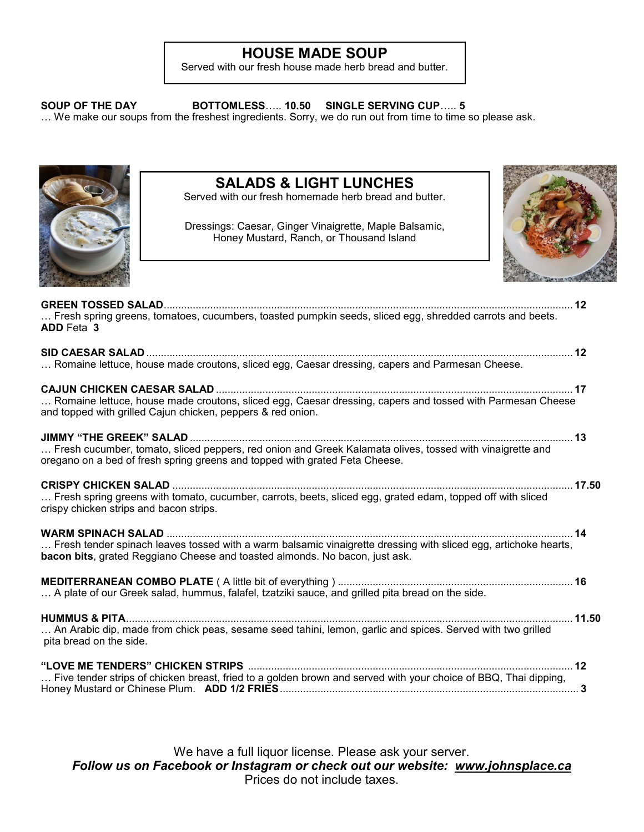# **HOUSE MADE SOUP**

Served with our fresh house made herb bread and butter.

**SOUP OF THE DAY BOTTOMLESS**….. **10.50 SINGLE SERVING CUP**….. **5**

… We make our soups from the freshest ingredients. Sorry, we do run out from time to time so please ask.



# **SALADS & LIGHT LUNCHES**

Served with our fresh homemade herb bread and butter.

Dressings: Caesar, Ginger Vinaigrette, Maple Balsamic, Honey Mustard, Ranch, or Thousand Island



| Fresh spring greens, tomatoes, cucumbers, toasted pumpkin seeds, sliced egg, shredded carrots and beets.<br><b>ADD</b> Feta 3                                                                                              |       |
|----------------------------------------------------------------------------------------------------------------------------------------------------------------------------------------------------------------------------|-------|
| Romaine lettuce, house made croutons, sliced egg, Caesar dressing, capers and Parmesan Cheese.                                                                                                                             |       |
| <b>CAJUN CHICKEN CAESAR SALAD</b>                                                                                                                                                                                          |       |
| Romaine lettuce, house made croutons, sliced egg, Caesar dressing, capers and tossed with Parmesan Cheese<br>and topped with grilled Cajun chicken, peppers & red onion.                                                   |       |
| <b>JIMMY "THE GREEK" SALAD.</b><br>Fresh cucumber, tomato, sliced peppers, red onion and Greek Kalamata olives, tossed with vinaigrette and<br>oregano on a bed of fresh spring greens and topped with grated Feta Cheese. |       |
| <b>CRISPY CHICKEN SALAD</b><br>Fresh spring greens with tomato, cucumber, carrots, beets, sliced egg, grated edam, topped off with sliced<br>crispy chicken strips and bacon strips.                                       | 17.50 |
| Fresh tender spinach leaves tossed with a warm balsamic vinaigrette dressing with sliced egg, artichoke hearts,<br><b>bacon bits</b> , grated Reggiano Cheese and toasted almonds. No bacon, just ask.                     | 14    |
| A plate of our Greek salad, hummus, falafel, tzatziki sauce, and grilled pita bread on the side.                                                                                                                           |       |
| An Arabic dip, made from chick peas, sesame seed tahini, lemon, garlic and spices. Served with two grilled<br>pita bread on the side.                                                                                      | 11.50 |
|                                                                                                                                                                                                                            |       |
| Five tender strips of chicken breast, fried to a golden brown and served with your choice of BBQ, Thai dipping,                                                                                                            |       |

We have a full liquor license. Please ask your server. *Follow us on Facebook or Instagram or check out our website: www.johnsplace.ca* Prices do not include taxes.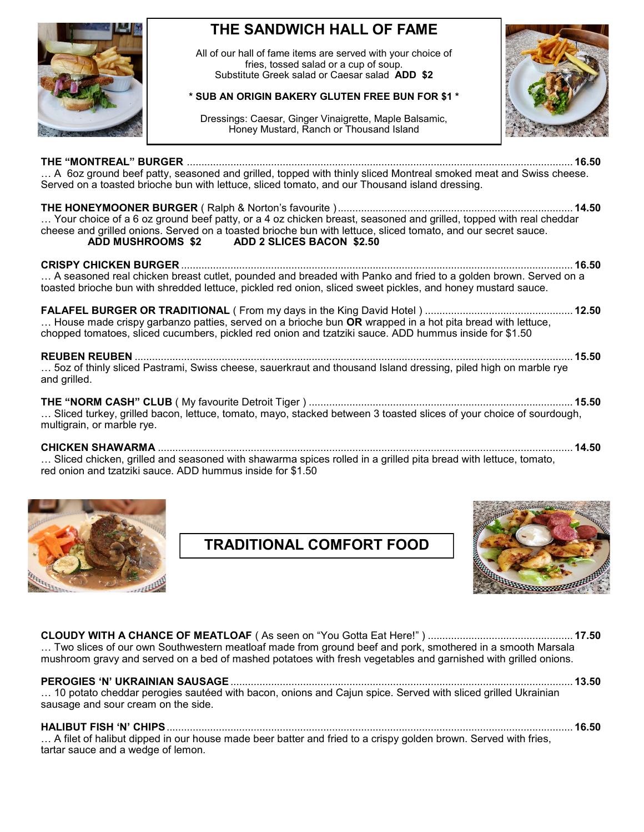

# **THE SANDWICH HALL OF FAME**

All of our hall of fame items are served with your choice of fries, tossed salad or a cup of soup. Substitute Greek salad or Caesar salad **ADD \$2**

## **\* SUB AN ORIGIN BAKERY GLUTEN FREE BUN FOR \$1 \***

Dressings: Caesar, Ginger Vinaigrette, Maple Balsamic, Honey Mustard, Ranch or Thousand Island



**THE "MONTREAL" BURGER** ..................................................................................................................................... **16.50** … A 6oz ground beef patty, seasoned and grilled, topped with thinly sliced Montreal smoked meat and Swiss cheese. Served on a toasted brioche bun with lettuce, sliced tomato, and our Thousand island dressing.

**THE HONEYMOONER BURGER** ( Ralph & Norton's favourite )................................................................................. **14.50** … Your choice of a 6 oz ground beef patty, or a 4 oz chicken breast, seasoned and grilled, topped with real cheddar cheese and grilled onions. Served on a toasted brioche bun with lettuce, sliced tomato, and our secret sauce.<br>ADD MUSHROOMS \$2 ADD 2 SLICES BACON \$2.50 **ADD 2 SLICES BACON \$2.50** 

**CRISPY CHICKEN BURGER** ....................................................................................................................................... **16.50** … A seasoned real chicken breast cutlet, pounded and breaded with Panko and fried to a golden brown. Served on a toasted brioche bun with shredded lettuce, pickled red onion, sliced sweet pickles, and honey mustard sauce.

| House made crispy garbanzo patties, served on a brioche bun OR wrapped in a hot pita bread with lettuce, |  |
|----------------------------------------------------------------------------------------------------------|--|
| chopped tomatoes, sliced cucumbers, pickled red onion and tzatziki sauce. ADD hummus inside for \$1.50   |  |

**REUBEN REUBEN** ....................................................................................................................................................... **15.50** … 5oz of thinly sliced Pastrami, Swiss cheese, sauerkraut and thousand Island dressing, piled high on marble rye and grilled.

**THE "NORM CASH" CLUB** ( My favourite Detroit Tiger ) ........................................................................................... **15.50** … Sliced turkey, grilled bacon, lettuce, tomato, mayo, stacked between 3 toasted slices of your choice of sourdough, multigrain, or marble rye.

**CHICKEN SHAWARMA** ............................................................................................................................................... **14.50** … Sliced chicken, grilled and seasoned with shawarma spices rolled in a grilled pita bread with lettuce, tomato, red onion and tzatziki sauce. ADD hummus inside for \$1.50





**CLOUDY WITH A CHANCE OF MEATLOAF** ( As seen on "You Gotta Eat Here!" ) .................................................. **17.50** ... Two slices of our own Southwestern meatloaf made from ground beef and pork, smothered in a smooth Marsala mushroom gravy and served on a bed of mashed potatoes with fresh vegetables and garnished with grilled onions.

## **PEROGIES 'N' UKRAINIAN SAUSAGE**...................................................................................................................... **13.50**

… 10 potato cheddar perogies sautéed with bacon, onions and Cajun spice. Served with sliced grilled Ukrainian sausage and sour cream on the side.

## **HALIBUT FISH 'N' CHIPS**............................................................................................................................................ **16.50**

… A filet of halibut dipped in our house made beer batter and fried to a crispy golden brown. Served with fries, tartar sauce and a wedge of lemon.